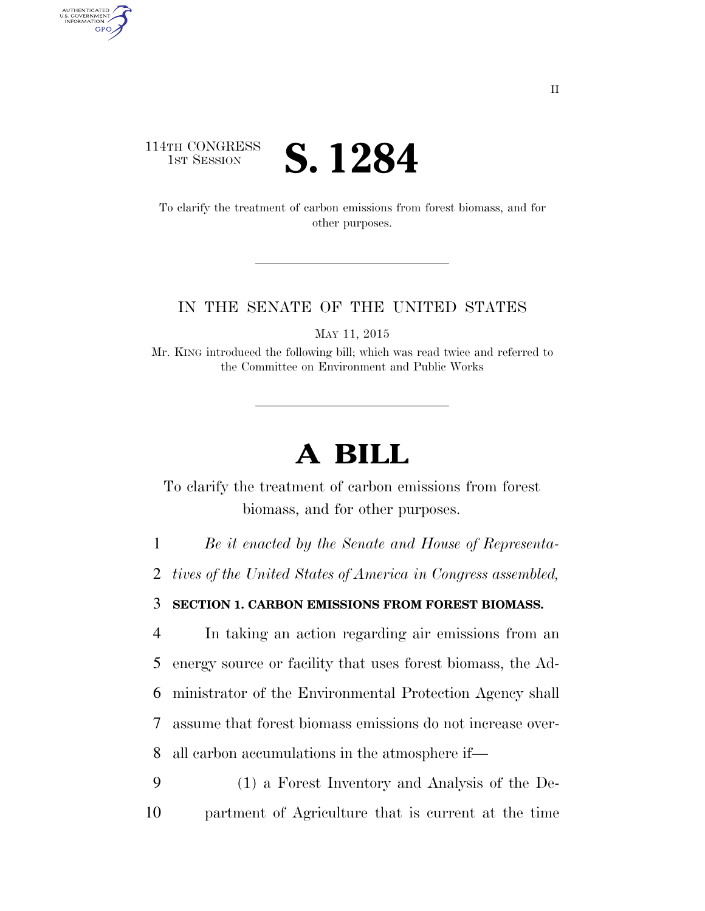## 114TH CONGRESS **IST SESSION S. 1284**

AUTHENTICATED<br>U.S. GOVERNMENT<br>INFORMATION **GPO** 

> To clarify the treatment of carbon emissions from forest biomass, and for other purposes.

## IN THE SENATE OF THE UNITED STATES

MAY 11, 2015

Mr. KING introduced the following bill; which was read twice and referred to the Committee on Environment and Public Works

## **A BILL**

To clarify the treatment of carbon emissions from forest biomass, and for other purposes.

1 *Be it enacted by the Senate and House of Representa-*

2 *tives of the United States of America in Congress assembled,* 

3 **SECTION 1. CARBON EMISSIONS FROM FOREST BIOMASS.** 

 In taking an action regarding air emissions from an energy source or facility that uses forest biomass, the Ad- ministrator of the Environmental Protection Agency shall assume that forest biomass emissions do not increase over-all carbon accumulations in the atmosphere if—

9 (1) a Forest Inventory and Analysis of the De-10 partment of Agriculture that is current at the time